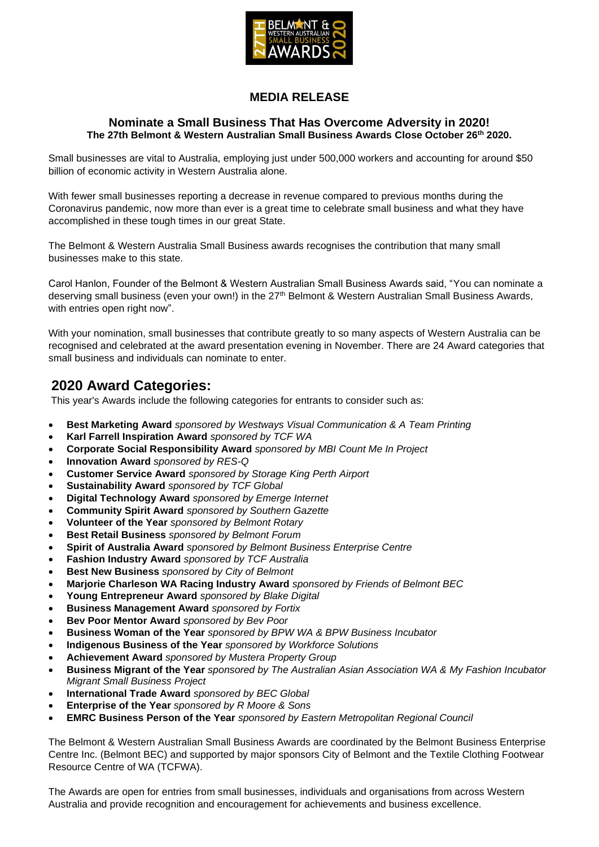

### **MEDIA RELEASE**

#### **Nominate a Small Business That Has Overcome Adversity in 2020! The 27th Belmont & Western Australian Small Business Awards Close October 26th 2020.**

Small businesses are vital to Australia, employing just under 500,000 workers and accounting for around \$50 billion of economic activity in Western Australia alone.

With fewer small businesses reporting a decrease in revenue compared to previous months during the Coronavirus pandemic, now more than ever is a great time to celebrate small business and what they have accomplished in these tough times in our great State.

The Belmont & Western Australia Small Business awards recognises the contribution that many small businesses make to this state.

Carol Hanlon, Founder of the Belmont & Western Australian Small Business Awards said, "You can nominate a deserving small business (even your own!) in the 27<sup>th</sup> Belmont & Western Australian Small Business Awards, with entries open right now".

With your nomination, small businesses that contribute greatly to so many aspects of Western Australia can be recognised and celebrated at the award presentation evening in November. There are 24 Award categories that small business and individuals can nominate to enter.

## **2020 Award Categories:**

This year's Awards include the following categories for entrants to consider such as:

- **Best Marketing Award** *sponsored by Westways Visual Communication & A Team Printing*
- **Karl Farrell Inspiration Award** *sponsored by TCF WA*
- **Corporate Social Responsibility Award** *sponsored by MBI Count Me In Project*
- **Innovation Award** *sponsored by RES-Q*
- **Customer Service Award** *sponsored by Storage King Perth Airport*
- **Sustainability Award** *sponsored by TCF Global*
- **Digital Technology Award** *sponsored by Emerge Internet*
- **Community Spirit Award** *sponsored by Southern Gazette*
- **Volunteer of the Year** *sponsored by Belmont Rotary*
- **Best Retail Business** *sponsored by Belmont Forum*
- **Spirit of Australia Award** *sponsored by Belmont Business Enterprise Centre*
- **Fashion Industry Award** *sponsored by TCF Australia*
- **Best New Business** *sponsored by City of Belmont*
- **Marjorie Charleson WA Racing Industry Award** *sponsored by Friends of Belmont BEC*
- **Young Entrepreneur Award** *sponsored by Blake Digital*
- **Business Management Award** *sponsored by Fortix*
- **Bev Poor Mentor Award** *sponsored by Bev Poor*
- **Business Woman of the Year** *sponsored by BPW WA & BPW Business Incubator*
- **Indigenous Business of the Year** *sponsored by Workforce Solutions*
- **Achievement Award** *sponsored by Mustera Property Group*
- **Business Migrant of the Year** *sponsored by The Australian Asian Association WA & My Fashion Incubator Migrant Small Business Project*
- **International Trade Award** *sponsored by BEC Global*
- **Enterprise of the Year** *sponsored by R Moore & Sons*
- **EMRC Business Person of the Year** *sponsored by Eastern Metropolitan Regional Council*

The Belmont & Western Australian Small Business Awards are coordinated by the Belmont Business Enterprise Centre Inc. (Belmont BEC) and supported by major sponsors City of Belmont and the Textile Clothing Footwear Resource Centre of WA (TCFWA).

The Awards are open for entries from small businesses, individuals and organisations from across Western Australia and provide recognition and encouragement for achievements and business excellence.